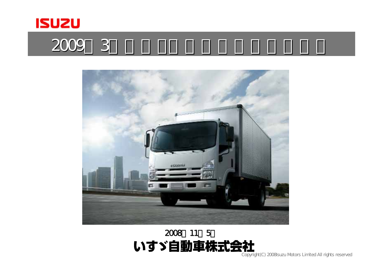

### 2009 3



#### いすゞ自動車株式会社 2008年11月5日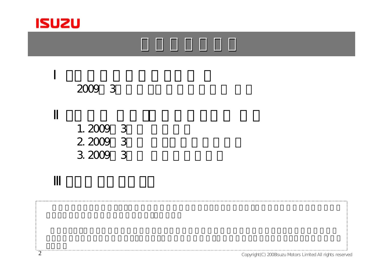

 $\ddot{2}$ 

#### 2009年3月期第2四半期累計実績

 $1.2009$  3 2. 2009 3 3. 2009 3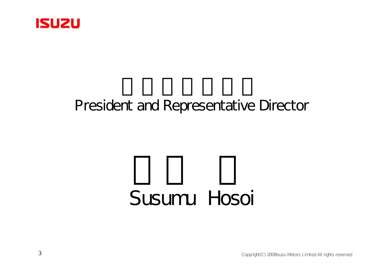

#### President and Representative Director

## Susumu Hosoi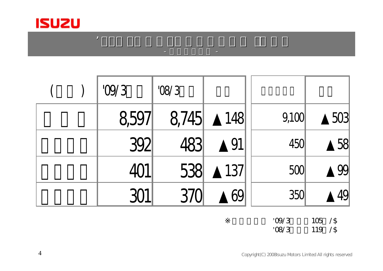

|  | '09/3                | $\overline{08/3}$ |     |       |     |
|--|----------------------|-------------------|-----|-------|-----|
|  | 8,59                 | 8745              | 148 | 9,100 | 503 |
|  | 392                  | 482'              | 91  | 450   | 58  |
|  | 4U                   | 538               | 137 | 500   | 99  |
|  | $\blacktriangleleft$ | <b>370</b>        | 59  | 350   | 49  |

| $\degree$ O $\frac{9}{3}$ | $105 /$ $\sqrt{3}$ |  |
|---------------------------|--------------------|--|
| $\sqrt{8/3}$              | 119 / \$           |  |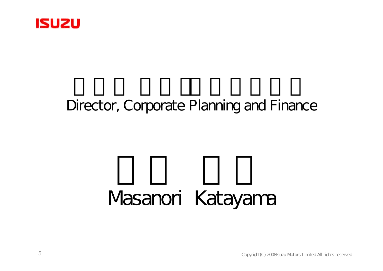

### Director, Corporate Planning and Finance

# Masanori Katayama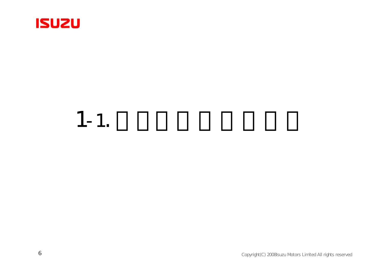

### $1 - 1.$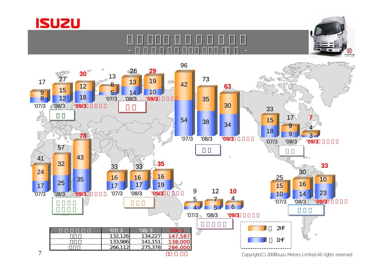



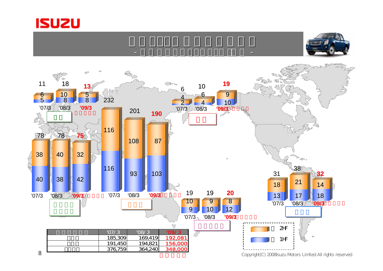



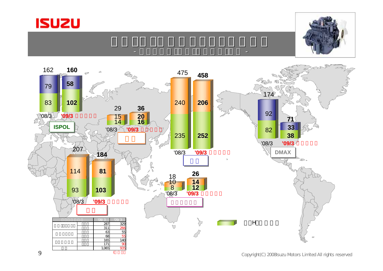





-

Copyright(C) 2008Isuzu Motors Limited All rights reserved

9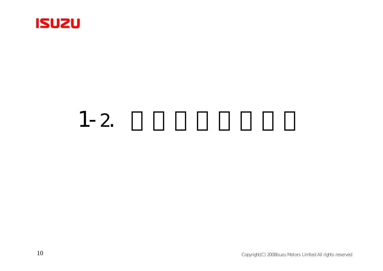

### $1 - 2.$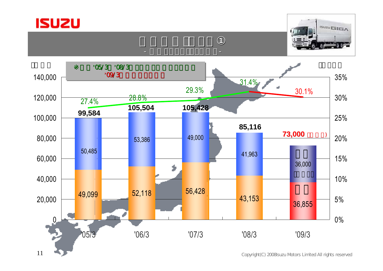





-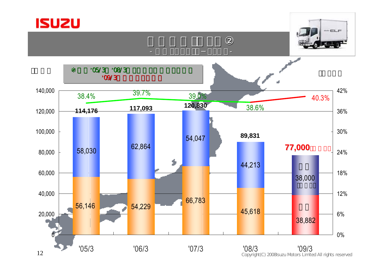



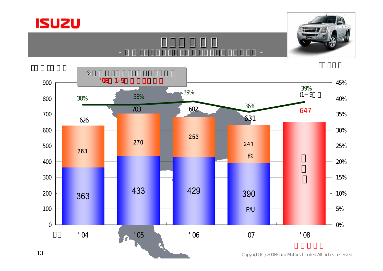





e a construction and the construction of the construction of the construction of the construction of the const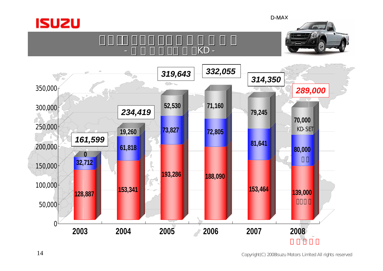

D-MAX



KD -

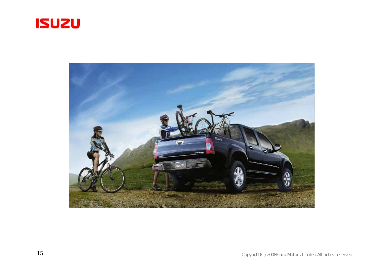

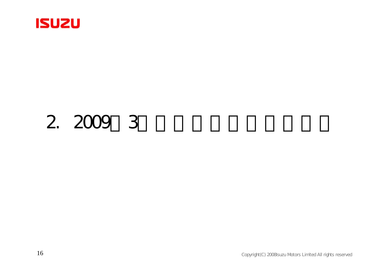

### 2. 2009 3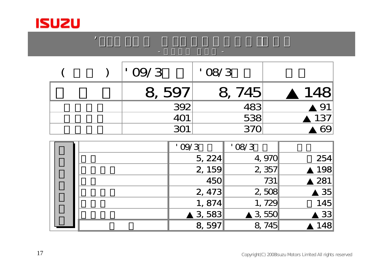

|  | $'$ O9/3 | $\cdot$ 08/3 |     |
|--|----------|--------------|-----|
|  | 8, 597   | 8, 745       | 148 |
|  | 392      | 483          |     |
|  | 401      | 538          | 137 |
|  | 301      | <b>370</b>   |     |

|  | $'$ O9/3 | 08/3                  |     |
|--|----------|-----------------------|-----|
|  | 5, 224   | 4, 970                | 254 |
|  | 2, 159   | 2, 357                | 198 |
|  | 450      | 731                   | 281 |
|  | 2,473    | 2,508                 | 35  |
|  | 1,874    | 1, 729                | 145 |
|  | 3,583    | 3,550                 | 33  |
|  | 8, 597   | 745<br>8 <sub>i</sub> | 148 |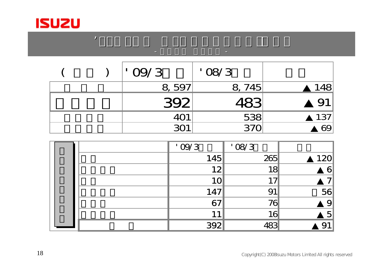

|  | $'$ O9/3 | $\cdot$ 08/3 |     |
|--|----------|--------------|-----|
|  | 8,597    | 8, 745       | 148 |
|  | 392      |              |     |
|  | 4O1      | 538          | 137 |
|  | 301      | <b>370</b>   | 69  |

|  | '09/3 | $'$ 08/3 |     |
|--|-------|----------|-----|
|  | 145   | 265      | 120 |
|  | 12    | 18       | n   |
|  |       |          |     |
|  | 147   |          | 56  |
|  | 67    |          | O   |
|  |       |          | 5   |
|  | 392   | 1O'      |     |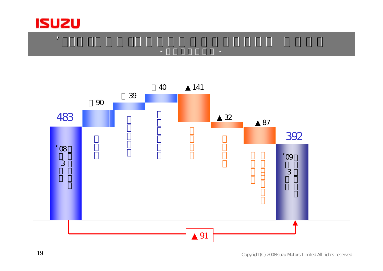

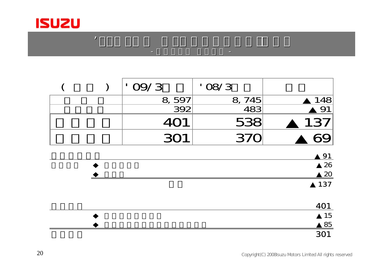

|                 | $\cdot$ 08/3 | 09/3             |  |
|-----------------|--------------|------------------|--|
| 148             | 8, 745       | 8, 597           |  |
| $\overline{91}$ | 483          | 392              |  |
| 137             | 538          | 401              |  |
| 60              | <b>370</b>   | $\overline{301}$ |  |
| 91              |              |                  |  |
| 26              |              |                  |  |
| $\overline{20}$ |              |                  |  |
| 137             |              |                  |  |
| 401             |              |                  |  |
| 15              |              |                  |  |
| 85              |              |                  |  |
| 301             |              |                  |  |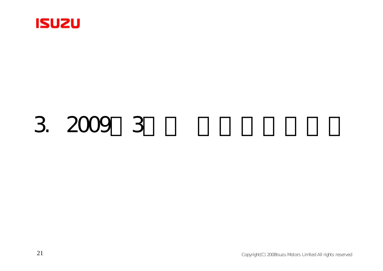

# 3. 2009 3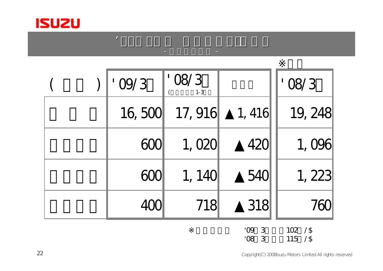

| 09/3   | 08/3<br>$1 - 3$ |       | 08/3    |
|--------|-----------------|-------|---------|
| 16,500 | 17, 916         | 1,416 | 19, 248 |
| 600    | 1,020           | 420   | 1,096   |
| 600    | 1, 140          | 540   | 1, 223  |
|        | 718             | 318   | 760     |

-

Copyright(C) 2008Isuzu Motors Limited All rights reserved

'09年3月期=102円/\$ '08年3月期=115円/\$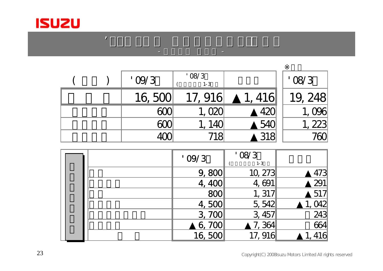

|  | 109/3   | $'$ 08/3<br>$1 - 3$ |                 | $'$ 08/3         |
|--|---------|---------------------|-----------------|------------------|
|  | 16, 500 | 17, 916             | 416             | 19, 248          |
|  | 600     | 1,020               | 42 <sup>c</sup> | 1,096            |
|  | 6CC     | 140 <sub>1</sub>    |                 | 223              |
|  |         | 718                 | 318'            | $\overline{760}$ |

|  | $'$ 09/3         | $'$ 08/3<br>$1 - 3$ |                     |
|--|------------------|---------------------|---------------------|
|  | 9,800            | 10, 273             | 473                 |
|  | 4,400            | 4,691               | $\overline{291}$    |
|  | $\overline{800}$ | 1,317               | 517                 |
|  | 4,500            | 5, 542              |                     |
|  | 3,700            | 3, 457              | $\frac{1,042}{243}$ |
|  | 6, 700           | 7, 364              |                     |
|  | 16,500           | 17, 916             | 416                 |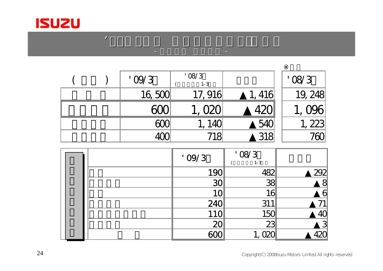

|  | $'$ 09/3 | 08/3<br>$1 - 3$ |     | $'$ 08/3 |
|--|----------|-----------------|-----|----------|
|  | 16, 500  | 17, 916         | 416 | 19, 248  |
|  |          |                 |     |          |
|  | 600      | 140             | 54( | 223      |
|  |          | 71 RI           | 318 | 760      |

|  | $'$ 09/3        | $'$ 08/3<br>$1 - 3$ |     |
|--|-----------------|---------------------|-----|
|  | 190             |                     | 292 |
|  | 30 <sup>l</sup> | 35                  |     |
|  | $\Box$          |                     |     |
|  | 240             | <b>21</b>           |     |
|  | 110             | 50                  |     |
|  | 20 <sup>1</sup> |                     |     |
|  |                 |                     |     |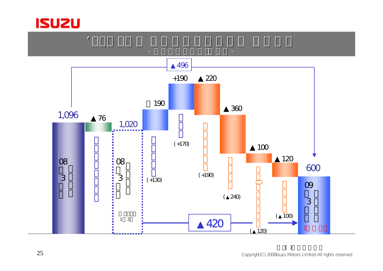

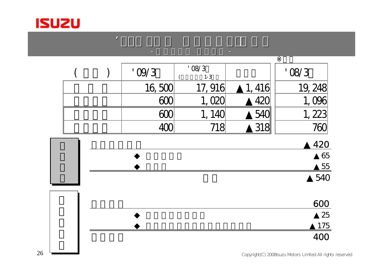

|  | O9/3    | 08/3<br>$1 - 3$ |     | 08/3             |
|--|---------|-----------------|-----|------------------|
|  | 16, 500 | 7,916           | 416 | 19, 248          |
|  |         |                 |     | 096              |
|  |         | $\mathcal{A}$   |     | $\overline{223}$ |
|  |         |                 |     | 760              |

-

| - 1 |
|-----|
| ۰   |

▲540

|                                                                                                                | ווא |
|----------------------------------------------------------------------------------------------------------------|-----|
|                                                                                                                | ハ   |
| and the state of the state of the state of the state of the state of the state of the state of the state of th | 175 |
|                                                                                                                |     |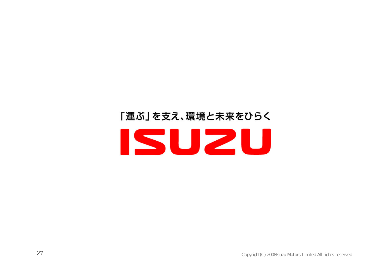# 「運ぶ」を支え、環境と未来をひらく ISUZU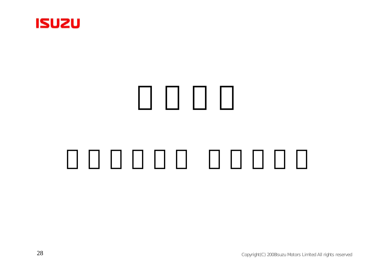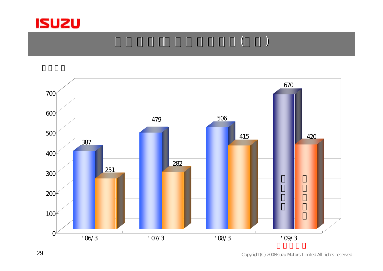

 $($ 

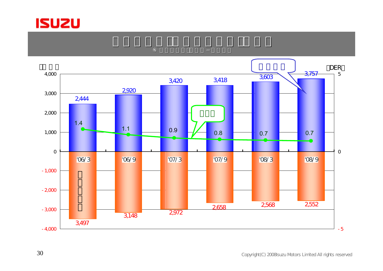

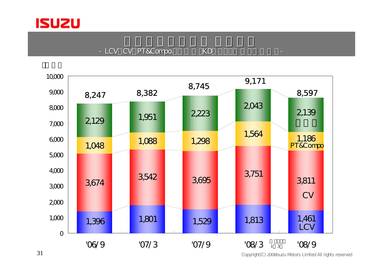



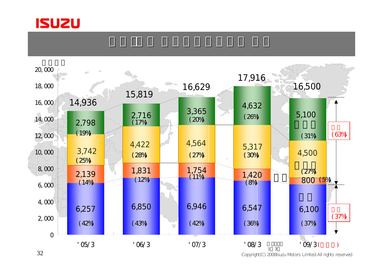

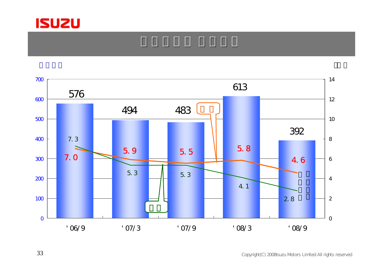

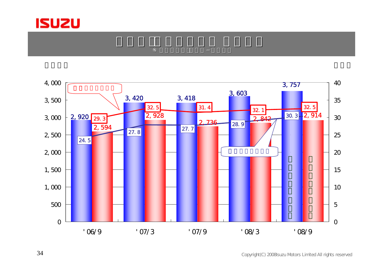

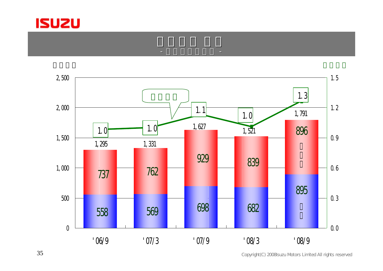



-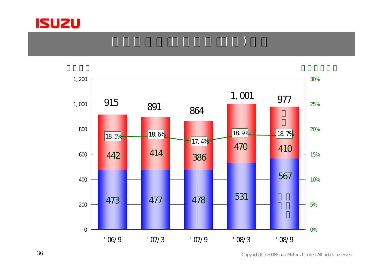



)